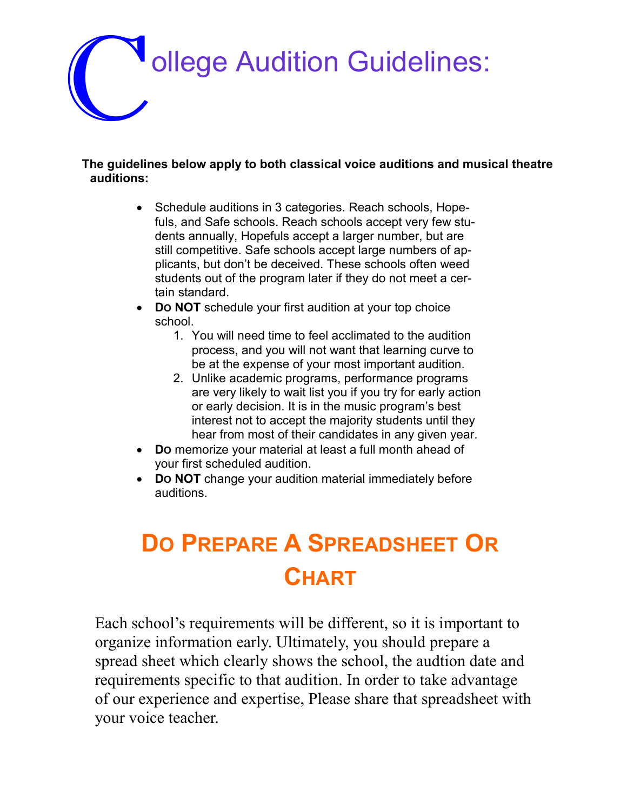

#### **The guidelines below apply to both classical voice auditions and musical theatre auditions:**

- Schedule auditions in 3 categories. Reach schools, Hopefuls, and Safe schools. Reach schools accept very few students annually, Hopefuls accept a larger number, but are still competitive. Safe schools accept large numbers of applicants, but don't be deceived. These schools often weed students out of the program later if they do not meet a certain standard.
- Do **NOT** schedule your first audition at your top choice school.
	- 1. You will need time to feel acclimated to the audition process, and you will not want that learning curve to be at the expense of your most important audition.
	- 2. Unlike academic programs, performance programs are very likely to wait list you if you try for early action or early decision. It is in the music program's best interest not to accept the majority students until they hear from most of their candidates in any given year.
- **DO** memorize your material at least a full month ahead of your first scheduled audition.
- Do NOT change your audition material immediately before auditions.

### **DO PREPARE A SPREADSHEET OR CHART**

Each school's requirements will be different, so it is important to organize information early. Ultimately, you should prepare a spread sheet which clearly shows the school, the audtion date and requirements specific to that audition. In order to take advantage of our experience and expertise, Please share that spreadsheet with your voice teacher.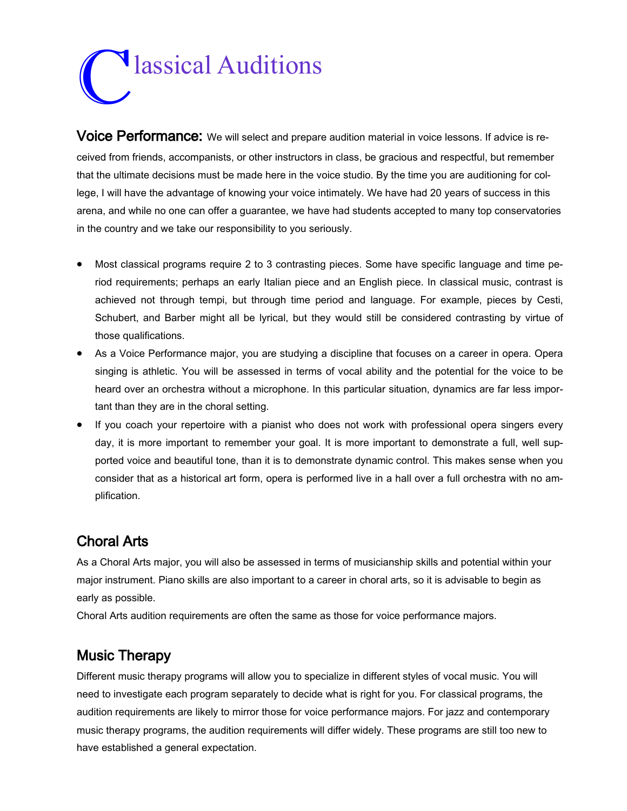## C lassical Auditions

Voice Performance: We will select and prepare audition material in voice lessons. If advice is received from friends, accompanists, or other instructors in class, be gracious and respectful, but remember that the ultimate decisions must be made here in the voice studio. By the time you are auditioning for college, I will have the advantage of knowing your voice intimately. We have had 20 years of success in this arena, and while no one can offer a guarantee, we have had students accepted to many top conservatories in the country and we take our responsibility to you seriously.

- Most classical programs require 2 to 3 contrasting pieces. Some have specific language and time period requirements; perhaps an early Italian piece and an English piece. In classical music, contrast is achieved not through tempi, but through time period and language. For example, pieces by Cesti, Schubert, and Barber might all be lyrical, but they would still be considered contrasting by virtue of those qualifications.
- As a Voice Performance major, you are studying a discipline that focuses on a career in opera. Opera singing is athletic. You will be assessed in terms of vocal ability and the potential for the voice to be heard over an orchestra without a microphone. In this particular situation, dynamics are far less important than they are in the choral setting.
- If you coach your repertoire with a pianist who does not work with professional opera singers every day, it is more important to remember your goal. It is more important to demonstrate a full, well supported voice and beautiful tone, than it is to demonstrate dynamic control. This makes sense when you consider that as a historical art form, opera is performed live in a hall over a full orchestra with no amplification.

#### Choral Arts

As a Choral Arts major, you will also be assessed in terms of musicianship skills and potential within your major instrument. Piano skills are also important to a career in choral arts, so it is advisable to begin as early as possible.

Choral Arts audition requirements are often the same as those for voice performance majors.

#### Music Therapy

Different music therapy programs will allow you to specialize in different styles of vocal music. You will need to investigate each program separately to decide what is right for you. For classical programs, the audition requirements are likely to mirror those for voice performance majors. For jazz and contemporary music therapy programs, the audition requirements will differ widely. These programs are still too new to have established a general expectation.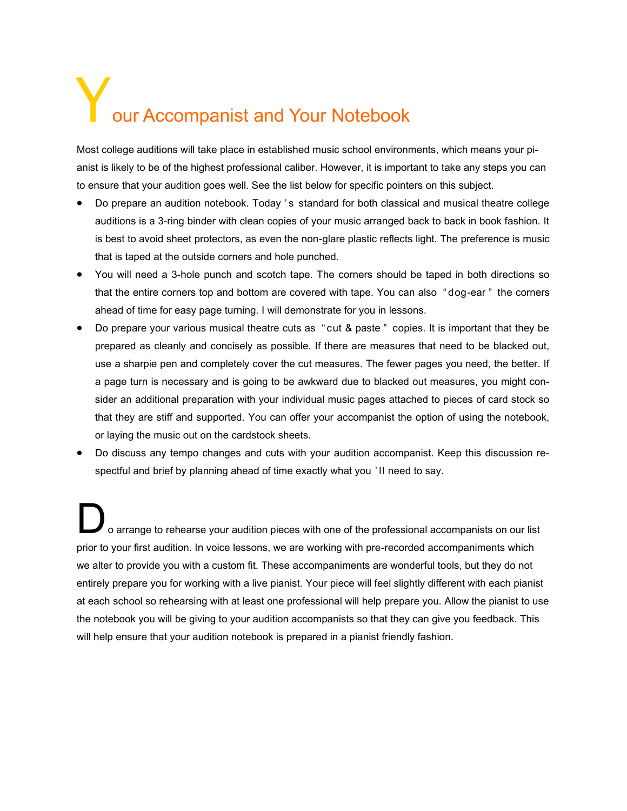# our Accompanist and Your Notebook

Most college auditions will take place in established music school environments, which means your pianist is likely to be of the highest professional caliber. However, it is important to take any steps you can to ensure that your audition goes well. See the list below for specific pointers on this subject.

- Do prepare an audition notebook. Today 's standard for both classical and musical theatre college auditions is a 3-ring binder with clean copies of your music arranged back to back in book fashion. It is best to avoid sheet protectors, as even the non-glare plastic reflects light. The preference is music that is taped at the outside corners and hole punched.
- You will need a 3-hole punch and scotch tape. The corners should be taped in both directions so that the entire corners top and bottom are covered with tape. You can also " dog-ear " the corners ahead of time for easy page turning. I will demonstrate for you in lessons.
- Do prepare your various musical theatre cuts as " cut & paste" copies. It is important that they be prepared as cleanly and concisely as possible. If there are measures that need to be blacked out, use a sharpie pen and completely cover the cut measures. The fewer pages you need, the better. If a page turn is necessary and is going to be awkward due to blacked out measures, you might consider an additional preparation with your individual music pages attached to pieces of card stock so that they are stiff and supported. You can offer your accompanist the option of using the notebook, or laying the music out on the cardstock sheets.
- Do discuss any tempo changes and cuts with your audition accompanist. Keep this discussion respectful and brief by planning ahead of time exactly what you ' ll need to say.

o arrange to rehearse your audition pieces with one of the professional accompanists on our list prior to your first audition. In voice lessons, we are working with pre-recorded accompaniments which we alter to provide you with a custom fit. These accompaniments are wonderful tools, but they do not entirely prepare you for working with a live pianist. Your piece will feel slightly different with each pianist at each school so rehearsing with at least one professional will help prepare you. Allow the pianist to use the notebook you will be giving to your audition accompanists so that they can give you feedback. This will help ensure that your audition notebook is prepared in a pianist friendly fashion.